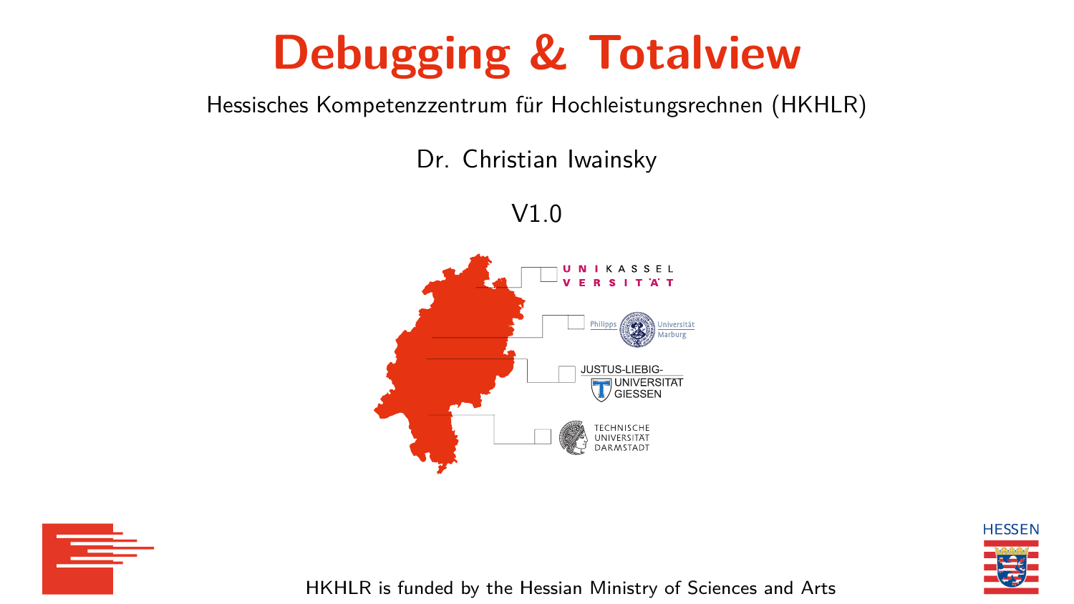## **Debugging & Totalview**

<span id="page-0-0"></span>Hessisches Kompetenzzentrum für Hochleistungsrechnen (HKHLR)

Dr. Christian Iwainsky

V1.0







HKHLR is funded by the Hessian Ministry of Sciences and Arts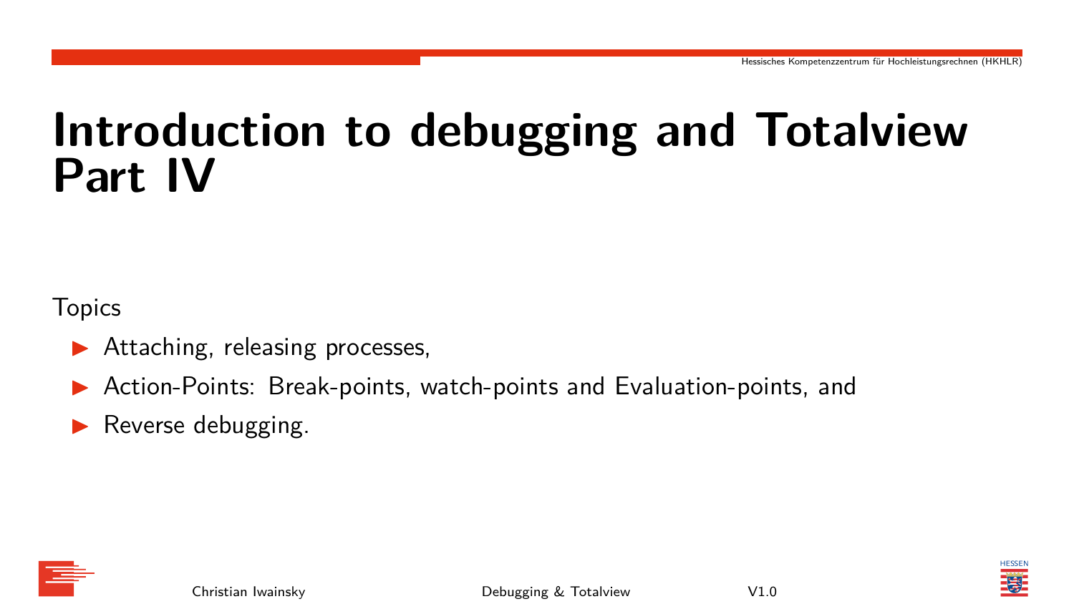## **Introduction to debugging and Totalview Part IV**

**Topics** 

- Attaching, releasing processes,
- Action-Points: Break-points, watch-points and Evaluation-points, and
- Reverse debugging.





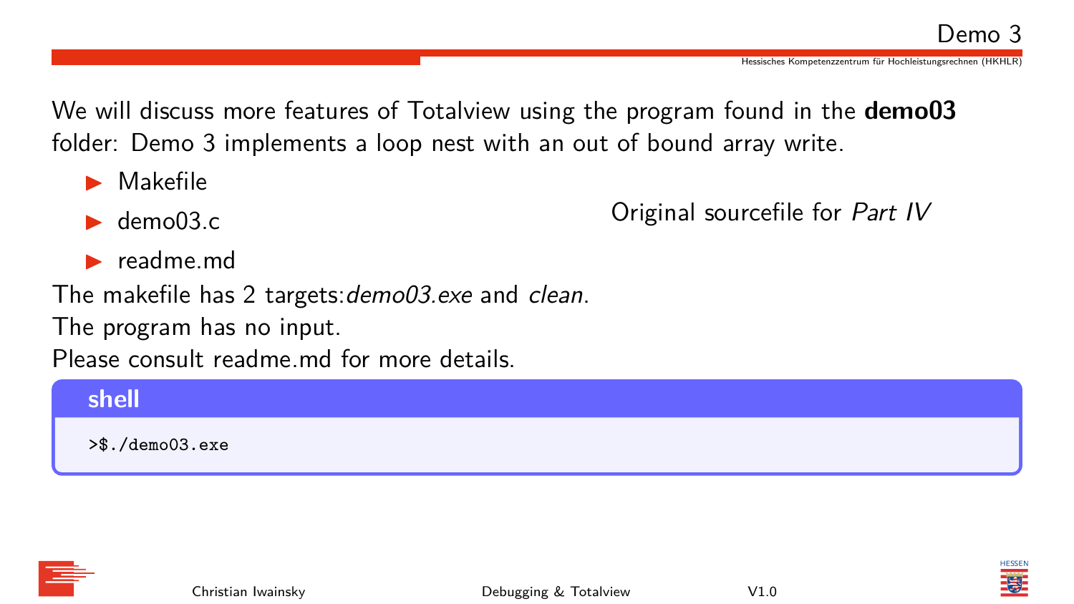Hessisches Kompetenzzentrum für Hochleistungsrechnen (HKHLR)

We will discuss more features of Totalview using the program found in the **demo03** folder: Demo 3 implements a loop nest with an out of bound array write.

- ▶ Makefile
- $\blacktriangleright$  demo $03.c$

Original sourcefile for Part IV

▶ readme.md

The makefile has 2 targets: demo03.exe and clean.

The program has no input.

Please consult readme md for more details.

## **shell** >\$./demo03.exe



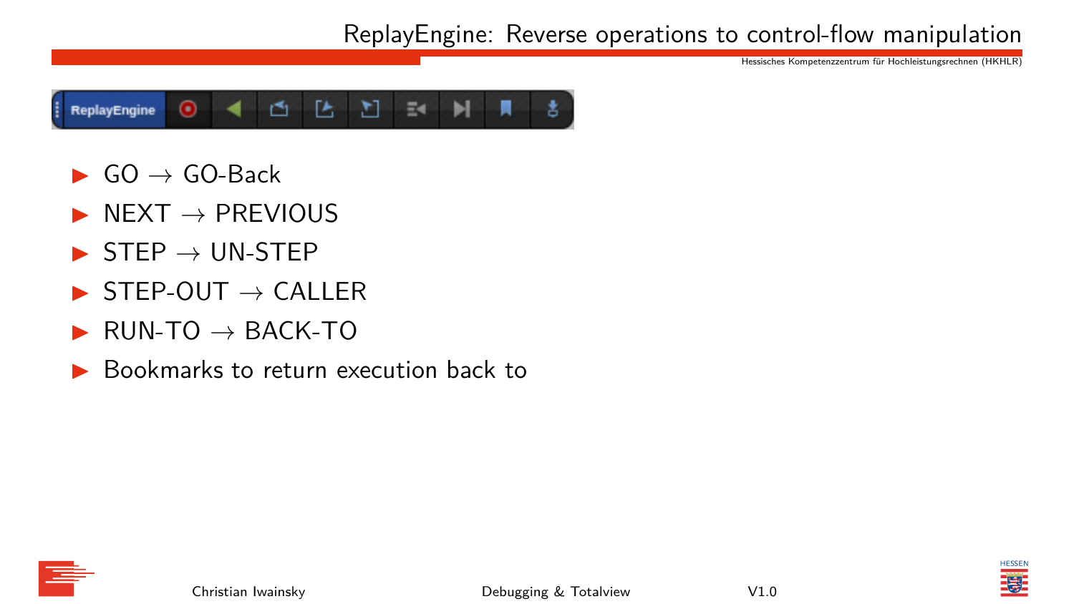ReplayEngine: Reverse operations to control-flow manipulation

Hessisches Kompetenzzentrum für Hochleistungsrechnen (HKHLR)



- $\triangleright$  GO  $\rightarrow$  GO-Back
- $N$   $\rightarrow$  PREVIOUS
- $\triangleright$  STEP  $\rightarrow$  UN-STEP
- $STFP-OUT \rightarrow CAIIER$
- $RUN-TO \rightarrow BACK-TO$
- ▶ Bookmarks to return execution back to







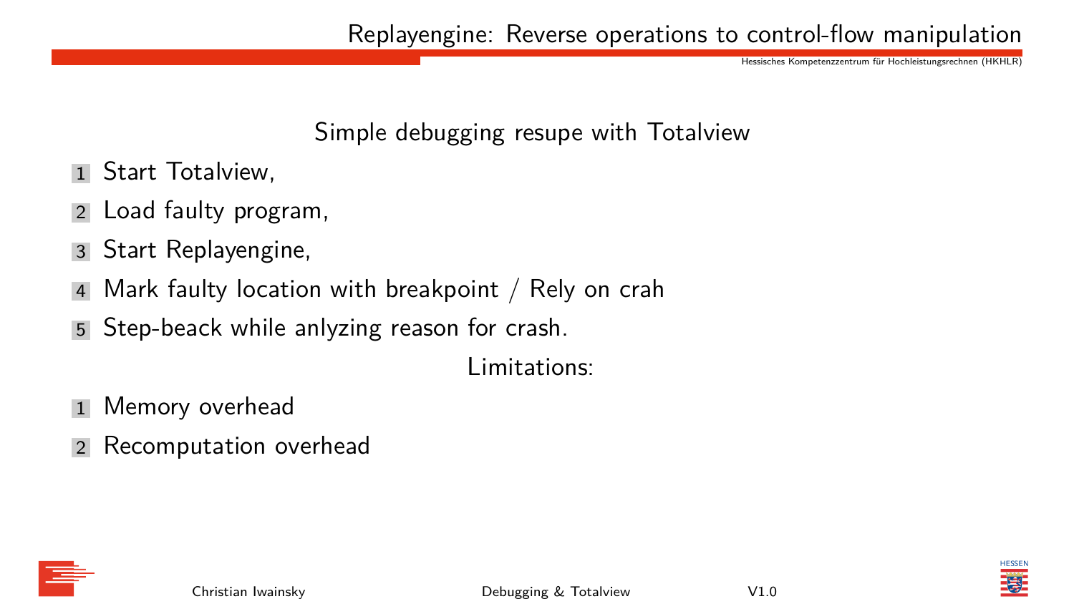Replayengine: Reverse operations to control-flow manipulation

Hessisches Kompetenzzentrum für Hochleistungsrechnen (HKHLR)

## Simple debugging resupe with Totalview

- 1 Start Totalview.
- 2 Load faulty program,
- 3 Start Replayengine,
- 4 Mark faulty location with breakpoint / Rely on crah
- 5 Step-beack while anlyzing reason for crash.

Limitations:

- 1 Memory overhead
- 2 Recomputation overhead